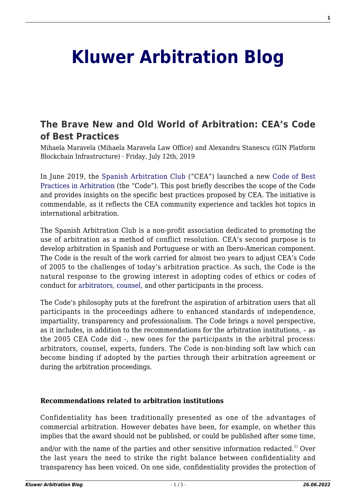# **[Kluwer Arbitration Blog](http://arbitrationblog.kluwerarbitration.com/)**

## **[The Brave New and Old World of Arbitration: CEA's Code](http://arbitrationblog.kluwerarbitration.com/2019/07/12/the-brave-new-and-old-world-of-arbitration-ceas-code-of-best-practices/) [of Best Practices](http://arbitrationblog.kluwerarbitration.com/2019/07/12/the-brave-new-and-old-world-of-arbitration-ceas-code-of-best-practices/)**

Mihaela Maravela (Mihaela Maravela Law Office) and Alexandru Stanescu (GIN Platform Blockchain Infrastructure) · Friday, July 12th, 2019

In June 2019, the [Spanish Arbitration Club](https://www.clubarbitraje.com/quienes-somos/) ("CEA") launched a new [Code of Best](https://www.clubarbitraje.com/wp-content/uploads/2019/06/cbbpp-cea.pdf) [Practices in Arbitration](https://www.clubarbitraje.com/wp-content/uploads/2019/06/cbbpp-cea.pdf) (the "Code"). This post briefly describes the scope of the Code and provides insights on the specific best practices proposed by CEA. The initiative is commendable, as it reflects the CEA community experience and tackles hot topics in international arbitration.

The Spanish Arbitration Club is a non-profit association dedicated to promoting the use of arbitration as a method of conflict resolution. CEA's second purpose is to develop arbitration in Spanish and Portuguese or with an Ibero-American component. The Code is the result of the work carried for almost two years to adjust CEA's Code of 2005 to the challenges of today's arbitration practice. As such, the Code is the natural response to the growing interest in adopting codes of ethics or codes of conduct for [arbitrators,](http://arbitrationblog.kluwerarbitration.com/2018/04/15/interviews-with-our-editors-interview-with-meg-kinnear-secretary-general-of-the-international-centre-for-settlement-of-investment-disputes/) [counsel](http://arbitrationblog.kluwerarbitration.com/2010/11/16/a-code-of-conduct-for-counsel-in-international-arbitration/), and other participants in the process.

The Code's philosophy puts at the forefront the aspiration of arbitration users that all participants in the proceedings adhere to enhanced standards of independence, impartiality, transparency and professionalism. The Code brings a novel perspective, as it includes, in addition to the recommendations for the arbitration institutions, – as the 2005 CEA Code did -, new ones for the participants in the arbitral process: arbitrators, counsel, experts, funders. The Code is non-binding soft law which can become binding if adopted by the parties through their arbitration agreement or during the arbitration proceedings.

#### **Recommendations related to arbitration institutions**

Confidentiality has been traditionally presented as one of the advantages of commercial arbitration. However debates have been, for example, on whether this implies that the award should not be published, or could be published after some time,

and/or with the name of the parties and other sensitive information redacted.<sup>1)</sup> Over the last years the need to strike the right balance between confidentiality and transparency has been voiced. On one side, confidentiality provides the protection of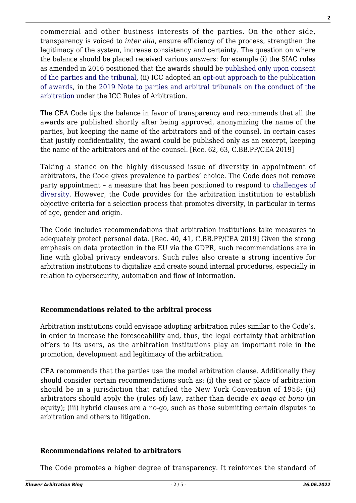commercial and other business interests of the parties. On the other side, transparency is voiced to *inter alia*, ensure efficiency of the process, strengthen the legitimacy of the system, increase consistency and certainty. The question on where the balance should be placed received various answers: for example (i) the SIAC rules as amended in 2016 positioned that the awards should be [published only upon consent](http://arbitrationblog.kluwerarbitration.com/2016/10/05/siacs-retreat-from-publication-of-awards-without-consent-strikes-the-right-balance/) [of the parties and the tribunal,](http://arbitrationblog.kluwerarbitration.com/2016/10/05/siacs-retreat-from-publication-of-awards-without-consent-strikes-the-right-balance/) (ii) ICC adopted an [opt-out approach to the publication](http://arbitrationblog.kluwerarbitration.com/2019/03/07/revised-icc-note-to-parties-and-tribunals-will-publication-of-awards-become-the-new-normal/) [of awards,](http://arbitrationblog.kluwerarbitration.com/2019/03/07/revised-icc-note-to-parties-and-tribunals-will-publication-of-awards-become-the-new-normal/) in the [2019 Note to parties and arbitral tribunals on the conduct of the](https://cdn.iccwbo.org/content/uploads/sites/3/2017/03/icc-note-to-parties-and-arbitral-tribunals-on-the-conduct-of-arbitration.pdf) [arbitration](https://cdn.iccwbo.org/content/uploads/sites/3/2017/03/icc-note-to-parties-and-arbitral-tribunals-on-the-conduct-of-arbitration.pdf) under the ICC Rules of Arbitration.

The CEA Code tips the balance in favor of transparency and recommends that all the awards are published shortly after being approved, anonymizing the name of the parties, but keeping the name of the arbitrators and of the counsel. In certain cases that justify confidentiality, the award could be published only as an excerpt, keeping the name of the arbitrators and of the counsel. [Rec. 62, 63, C.BB.PP/CEA 2019]

Taking a stance on the highly discussed issue of diversity in appointment of arbitrators, the Code gives prevalence to parties' choice. The Code does not remove party appointment – a measure that has been positioned to respond to [challenges of](http://arbitrationblog.kluwerarbitration.com/2018/05/20/diversity-and-intergenerationality/) [diversity](http://arbitrationblog.kluwerarbitration.com/2018/05/20/diversity-and-intergenerationality/). However, the Code provides for the arbitration institution to establish objective criteria for a selection process that promotes diversity, in particular in terms of age, gender and origin.

The Code includes recommendations that arbitration institutions take measures to adequately protect personal data. [Rec. 40, 41, C.BB.PP/CEA 2019] Given the strong emphasis on data protection in the EU via the GDPR, such recommendations are in line with global privacy endeavors. Such rules also create a strong incentive for arbitration institutions to digitalize and create sound internal procedures, especially in relation to cybersecurity, automation and flow of information.

### **Recommendations related to the arbitral process**

Arbitration institutions could envisage adopting arbitration rules similar to the Code's, in order to increase the foreseeability and, thus, the legal certainty that arbitration offers to its users, as the arbitration institutions play an important role in the promotion, development and legitimacy of the arbitration.

CEA recommends that the parties use the model arbitration clause. Additionally they should consider certain recommendations such as: (i) the seat or place of arbitration should be in a jurisdiction that ratified the New York Convention of 1958; (ii) arbitrators should apply the (rules of) law, rather than decide *ex aeqo et bono* (in equity); (iii) hybrid clauses are a no-go, such as those submitting certain disputes to arbitration and others to litigation.

#### **Recommendations related to arbitrators**

The Code promotes a higher degree of transparency. It reinforces the standard of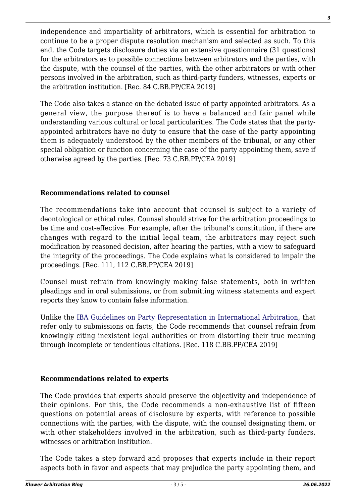independence and impartiality of arbitrators, which is essential for arbitration to continue to be a proper dispute resolution mechanism and selected as such. To this end, the Code targets disclosure duties via an extensive questionnaire (31 questions) for the arbitrators as to possible connections between arbitrators and the parties, with the dispute, with the counsel of the parties, with the other arbitrators or with other persons involved in the arbitration, such as third-party funders, witnesses, experts or the arbitration institution. [Rec. 84 C.BB.PP/CEA 2019]

The Code also takes a stance on the debated issue of party appointed arbitrators. As a general view, the purpose thereof is to have a balanced and fair panel while understanding various cultural or local particularities. The Code states that the partyappointed arbitrators have no duty to ensure that the case of the party appointing them is adequately understood by the other members of the tribunal, or any other special obligation or function concerning the case of the party appointing them, save if otherwise agreed by the parties. [Rec. 73 C.BB.PP/CEA 2019]

#### **Recommendations related to counsel**

The recommendations take into account that counsel is subject to a variety of deontological or ethical rules. Counsel should strive for the arbitration proceedings to be time and cost-effective. For example, after the tribunal's constitution, if there are changes with regard to the initial legal team, the arbitrators may reject such modification by reasoned decision, after hearing the parties, with a view to safeguard the integrity of the proceedings. The Code explains what is considered to impair the proceedings. [Rec. 111, 112 C.BB.PP/CEA 2019]

Counsel must refrain from knowingly making false statements, both in written pleadings and in oral submissions, or from submitting witness statements and expert reports they know to contain false information.

Unlike the [IBA Guidelines on Party Representation in International Arbitration,](https://www.ibanet.org/Publications/publications_IBA_guides_and_free_materials.aspx) that refer only to submissions on facts, the Code recommends that counsel refrain from knowingly citing inexistent legal authorities or from distorting their true meaning through incomplete or tendentious citations. [Rec. 118 C.BB.PP/CEA 2019]

#### **Recommendations related to experts**

The Code provides that experts should preserve the objectivity and independence of their opinions. For this, the Code recommends a non-exhaustive list of fifteen questions on potential areas of disclosure by experts, with reference to possible connections with the parties, with the dispute, with the counsel designating them, or with other stakeholders involved in the arbitration, such as third-party funders, witnesses or arbitration institution.

The Code takes a step forward and proposes that experts include in their report aspects both in favor and aspects that may prejudice the party appointing them, and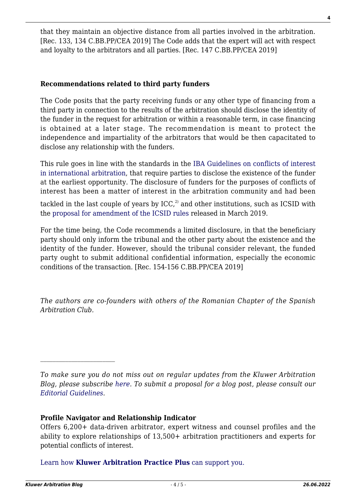that they maintain an objective distance from all parties involved in the arbitration. [Rec. 133, 134 C.BB.PP/CEA 2019] The Code adds that the expert will act with respect and loyalty to the arbitrators and all parties. [Rec. 147 C.BB.PP/CEA 2019]

#### **Recommendations related to third party funders**

The Code posits that the party receiving funds or any other type of financing from a third party in connection to the results of the arbitration should disclose the identity of the funder in the request for arbitration or within a reasonable term, in case financing is obtained at a later stage. The recommendation is meant to protect the independence and impartiality of the arbitrators that would be then capacitated to disclose any relationship with the funders.

This rule goes in line with the standards in the [IBA Guidelines on conflicts of interest](https://www.ibanet.org/Publications/publications_IBA_guides_and_free_materials.aspx) [in international arbitration](https://www.ibanet.org/Publications/publications_IBA_guides_and_free_materials.aspx), that require parties to disclose the existence of the funder at the earliest opportunity. The disclosure of funders for the purposes of conflicts of interest has been a matter of interest in the arbitration community and had been

tackled in the last couple of years by  $ICC<sub>r</sub><sup>2</sup>$  and other institutions, such as ICSID with the [proposal for amendment of the ICSID rules](https://icsid.worldbank.org/en/Documents/Vol_1.pdf) released in March 2019.

For the time being, the Code recommends a limited disclosure, in that the beneficiary party should only inform the tribunal and the other party about the existence and the identity of the funder. However, should the tribunal consider relevant, the funded party ought to submit additional confidential information, especially the economic conditions of the transaction. [Rec. 154-156 C.BB.PP/CEA 2019]

*The authors are co-founders with others of the Romanian Chapter of the Spanish Arbitration Club.*

*To make sure you do not miss out on regular updates from the Kluwer Arbitration Blog, please subscribe [here](http://arbitrationblog.kluwerarbitration.com/newsletter/). To submit a proposal for a blog post, please consult our [Editorial Guidelines.](http://arbitrationblog.kluwerarbitration.com/editorial-guidelines/)*

#### **Profile Navigator and Relationship Indicator**

Offers 6,200+ data-driven arbitrator, expert witness and counsel profiles and the ability to explore relationships of 13,500+ arbitration practitioners and experts for potential conflicts of interest.

[Learn how](https://www.wolterskluwer.com/en/solutions/kluwerarbitration/practiceplus?utm_source=arbitrationblog&utm_medium=articleCTA&utm_campaign=article-banner) **[Kluwer Arbitration Practice Plus](https://www.wolterskluwer.com/en/solutions/kluwerarbitration/practiceplus?utm_source=arbitrationblog&utm_medium=articleCTA&utm_campaign=article-banner)** [can support you.](https://www.wolterskluwer.com/en/solutions/kluwerarbitration/practiceplus?utm_source=arbitrationblog&utm_medium=articleCTA&utm_campaign=article-banner)

 $\mathcal{L}_\text{max}$